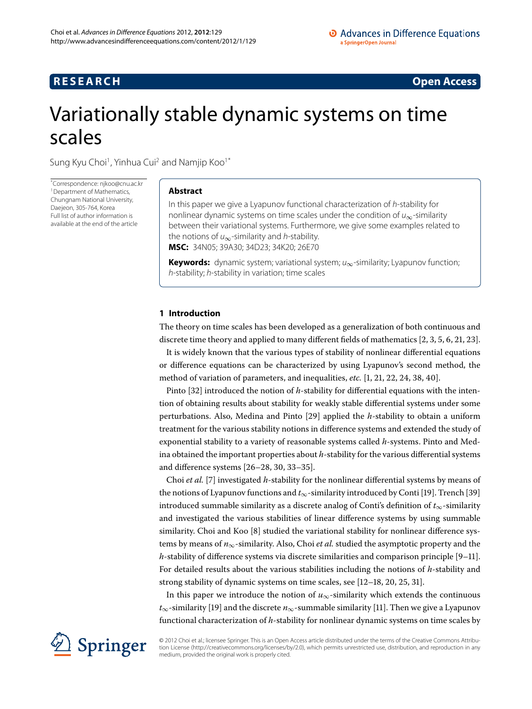## **RESEARCH CONSTRUCTED ACCESS**

# <span id="page-0-0"></span>Variationally stable dynamic systems on time scales

Sung Kyu Choi<sup>[1](#page-15-0)</sup>, Yinhua Cui<sup>[2](#page-15-1)</sup> and Namjip Koo<sup>1[\\*](#page-0-0)</sup>

\* Correspondence: [njkoo@cnu.ac.kr](mailto:njkoo@cnu.ac.kr) <sup>[1](#page-15-0)</sup> Department of Mathematics, Chungnam National University, Daejeon, 305-764, Korea Full list of author information is available at the end of the article

## **Abstract**

In this paper we give a Lyapunov functional characterization of h-stability for nonlinear dynamic systems on time scales under the condition of  $u_{\infty}$ -similarity between their variational systems. Furthermore, we give some examples related to the notions of  $u_{\infty}$ -similarity and *h*-stability. **MSC:** 34N05; 39A30; 34D23; 34K20; 26E70

Keywords: dynamic system; variational system; u<sub>∞</sub>-similarity; Lyapunov function; h-stability; h-stability in variation; time scales

## **1 Introduction**

The theory on time scales has been developed as a generalization of both continuous and discrete time theory and applied to many different fields of mathematics  $[2, 3, 5, 6, 21, 23]$  $[2, 3, 5, 6, 21, 23]$  $[2, 3, 5, 6, 21, 23]$  $[2, 3, 5, 6, 21, 23]$  $[2, 3, 5, 6, 21, 23]$ .

It is widely known that the various types of stability of nonlinear differential equations or difference equations can be characterized by using Lyapunov's second method, the method of variation of parameters[,](#page-15-10) and inequalities, *etc.* [1, 21, 22, 24, 38, 40[\]](#page-16-1).

Pinto [32[\]](#page-15-11) introduced the notion of *h*-stability for differential equations with the intention of obtaining results about stability for weakly stable differential systems under some perturbations. Also, Medina and Pinto [\[](#page-15-12)29] applied the *h*-stability to obtain a uniform treatment for the various stability notions in difference systems and extended the study of exponential stability to a variety of reasonable systems called *h*-systems. Pinto and Medina obtained the important properties about *h*-stability for the various differential systems and difference systems  $[26-28, 30, 33-35]$ .

Choi et al. [7] investigated h-stability for the nonlinear differential systems by means of the notions of Lyapunov functions and  $t_{\infty}$ -similarity introduced by Conti [19[\]](#page-16-2). Trench [39] introduced summable similarity as a discrete analog of Conti's definition of *t*∞-similarity and investigated the various stabilities of linear difference systems by using summable similarity. Choi and Koo  $[8]$  $[8]$  studied the variational stability for nonlinear difference systems by means of  $n_{\infty}$ -similarity. Also, Choi *et al.* studied the asymptotic property and the  $h$ -stability of difference systems via discrete similarities and comparison principle  $[9-11]$  $[9-11]$ . For detailed results about the various stabilities including the notions of *h*-stability and strong stability of dynamic systems on time scales[,](#page-15-26) see  $[12-18, 20, 25, 31]$  $[12-18, 20, 25, 31]$ .

In this paper we introduce the notion of  $u_{\infty}$ -similarity which extends the continuous  $t_{\infty}$ -similarity [\[](#page-15-19)19] and the discrete  $n_{\infty}$ -summable similarity [11]. Then we give a Lyapunov functional characterization of *h*-stability for nonlinear dynamic systems on time scales by



© 2012 Choi et al.; licensee Springer. This is an Open Access article distributed under the terms of the Creative Commons Attribution License ([http://creativecommons.org/licenses/by/2.0\)](http://creativecommons.org/licenses/by/2.0), which permits unrestricted use, distribution, and reproduction in any medium, provided the original work is properly cited.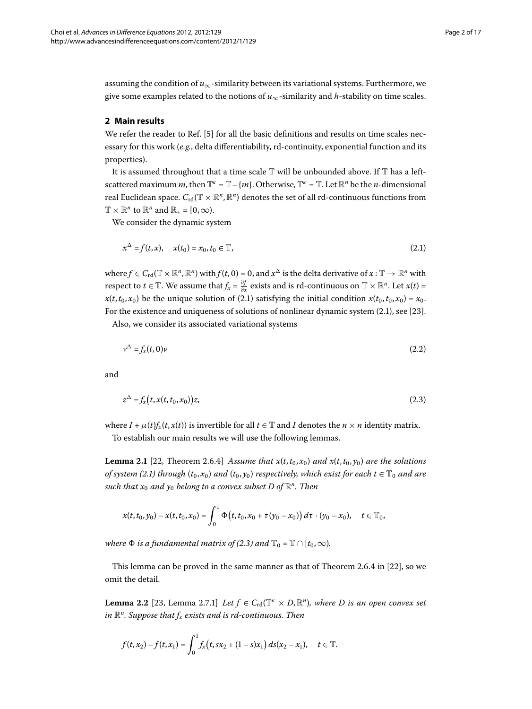assuming the condition of  $u_{\infty}$ -similarity between its variational systems. Furthermore, we give some examples related to the notions of  $u_{\infty}$ -similarity and *h*-stability on time scales.

## **2 Main results**

We refer the reader to Ref. [\[](#page-15-4)5] for all the basic definitions and results on time scales necessary for this work (*e.g.*, delta differentiability, rd-continuity, exponential function and its properties).

It is assumed throughout that a time scale  $\mathbb T$  will be unbounded above. If  $\mathbb T$  has a leftscattered maximum *m*, then  $\mathbb{T}^k = \mathbb{T} - \{m\}$ . Otherwise,  $\mathbb{T}^k = \mathbb{T}$ . Let  $\mathbb{R}^n$  be the *n*-dimensional real Euclidean space.  $C_{\text{rd}}(\mathbb{T} \times \mathbb{R}^n, \mathbb{R}^n)$  denotes the set of all rd-continuous functions from  $\mathbb{T} \times \mathbb{R}^n$  to  $\mathbb{R}^n$  and  $\mathbb{R}_+ = [0, \infty)$ .

We consider the dynamic system

<span id="page-1-2"></span><span id="page-1-0"></span>
$$
x^{\Delta} = f(t, x), \quad x(t_0) = x_0, t_0 \in \mathbb{T}, \tag{2.1}
$$

where  $f \in C_{\rm rd}(\mathbb{T} \times \mathbb{R}^n, \mathbb{R}^n)$  with  $f(t, 0) = 0$ , and  $x^{\Delta}$  is the delta derivative of  $x : \mathbb{T} \to \mathbb{R}^n$  with respect to  $t \in \mathbb{T}$ . We assume that  $f_x = \frac{\partial f}{\partial x}$  exists and is rd-continuous on  $\mathbb{T} \times \mathbb{R}^n$ . Let  $x(t) =$  $x(t, t_0, x_0)$  be the unique solution of (2.1) satisfying the initial condition  $x(t_0, t_0, x_0) = x_0$ . For the existence and uniqueness of solutions of nonlinear dynamic system  $(2.1)$ , see [23[\]](#page-15-7).

Also, we consider its associated variational systems

<span id="page-1-1"></span>
$$
\nu^{\Delta} = f_x(t,0)\nu \tag{2.2}
$$

and

$$
z^{\Delta} = f_x(t, x(t, t_0, x_0))z,
$$
\n(2.3)

where  $I + \mu(t) f_x(t, x(t))$  is invertible for all  $t \in \mathbb{T}$  and *I* denotes the  $n \times n$  identity matrix. To establish our main results we will use the following lemmas.

**Lemma 2.1** [\[](#page-15-9)22, Theorem 2.6.4] *Assume that*  $x(t, t_0, x_0)$  *and*  $x(t, t_0, y_0)$  *are the solutions of system (2.1) through*  $(t_0, x_0)$  *and*  $(t_0, y_0)$  *respectively, which exist for each*  $t \in \mathbb{T}_0$  *and are such that*  $x_0$  *and*  $y_0$  *belong to a convex subset*  $D$  *of*  $\mathbb{R}^n$ *. Then* 

<span id="page-1-3"></span>
$$
x(t,t_0,y_0)-x(t,t_0,x_0)=\int_0^1\Phi(t,t_0,x_0+\tau(y_0-x_0))\,d\tau\cdot(y_0-x_0),\quad t\in\mathbb{T}_0,
$$

*where*  $\Phi$  *is a fundamental matrix of (2[.](#page-1-1)3) and*  $\mathbb{T}_0 = \mathbb{T} \cap [t_0, \infty)$ *.* 

This lemma can be proved in the same manner as that of Theorem 2.6.4 in  $[22]$ , so we omit the detail.

**Lemma 2.2** [23[,](#page-15-7) Lemma 2.7.1] *Let*  $f \in C_{\text{rd}}(\mathbb{T}^k \times D, \mathbb{R}^n)$ *, where D is an open convex set in*  $\mathbb{R}^n$ . Suppose that  $f_x$  exists and is rd-continuous. Then

$$
f(t,x_2)-f(t,x_1)=\int_0^1 f_x(t,sx_2+(1-s)x_1)\,ds(x_2-x_1),\quad t\in\mathbb{T}.
$$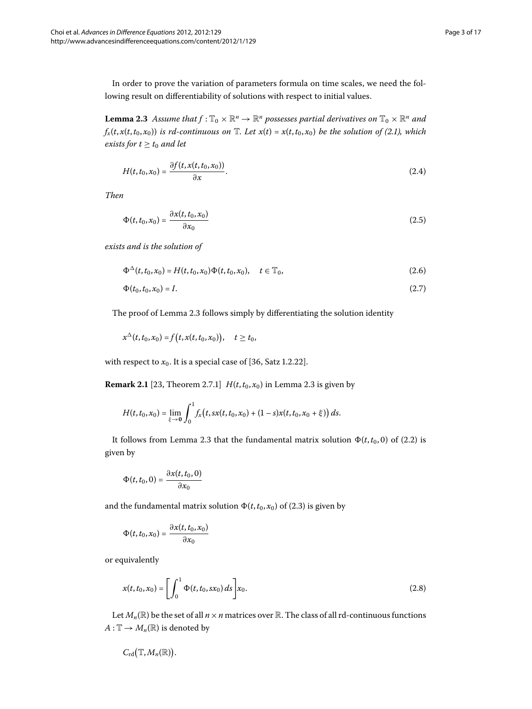<span id="page-2-0"></span>In order to prove the variation of parameters formula on time scales, we need the following result on differentiability of solutions with respect to initial values.

**Lemma 2.3** Assume that  $f: \mathbb{T}_0 \times \mathbb{R}^n \to \mathbb{R}^n$  possesses partial derivatives on  $\mathbb{T}_0 \times \mathbb{R}^n$  and  $f_x(t, x(t, t_0, x_0))$  *is rd-continuous on*  $\mathbb{T}$ *[.](#page-1-0) Let*  $x(t) = x(t, t_0, x_0)$  *be the solution of (2.1), which exists for*  $t > t_0$  *and let* 

$$
H(t,t_0,x_0)=\frac{\partial f(t,x(t,t_0,x_0))}{\partial x}.
$$
\n(2.4)

*Then*

$$
\Phi(t, t_0, x_0) = \frac{\partial x(t, t_0, x_0)}{\partial x_0} \tag{2.5}
$$

*exists and is the solution of*

$$
\Phi^{\Delta}(t, t_0, x_0) = H(t, t_0, x_0) \Phi(t, t_0, x_0), \quad t \in \mathbb{T}_0,
$$
\n(2.6)

$$
\Phi(t_0, t_0, x_0) = I. \tag{2.7}
$$

The proof of Lemma 2[.](#page-2-0)3 follows simply by differentiating the solution identity

$$
x^{\Delta}(t,t_0,x_0) = f(t,x(t,t_0,x_0)), \quad t \ge t_0,
$$

with respect to  $x_0$ . It is a special case of [36, Satz 1.2.22].

**Remark 2[.](#page-2-0)1** [23[,](#page-15-7) Theorem 2.7.1]  $H(t, t_0, x_0)$  in Lemma 2.3 is given by

$$
H(t,t_0,x_0)=\lim_{\xi\to 0}\int_0^1 f_x(t,sx(t,t_0,x_0)+(1-s)x(t,t_0,x_0+\xi))\,ds.
$$

It follows from Lemma 2[.](#page-2-0)3 that the fundamental matrix solution  $\Phi(t, t_0, 0)$  of (2.2) is given by

$$
\Phi(t,t_0,0)=\frac{\partial x(t,t_0,0)}{\partial x_0}
$$

and the fundamental matrix solution  $\Phi(t, t_0, x_0)$  of (2.3) is given by

<span id="page-2-1"></span>
$$
\Phi(t,t_0,x_0)=\frac{\partial x(t,t_0,x_0)}{\partial x_0}
$$

or equivalently

$$
x(t, t_0, x_0) = \left[ \int_0^1 \Phi(t, t_0, s x_0) ds \right] x_0.
$$
 (2.8)

Let  $M_n(\mathbb{R})$  be the set of all  $n \times n$  matrices over  $\mathbb{R}$ . The class of all rd-continuous functions  $A: \mathbb{T} \to M_n(\mathbb{R})$  is denoted by

$$
C_{\mathrm{rd}}\big(\mathbb{T},M_n(\mathbb{R})\big).
$$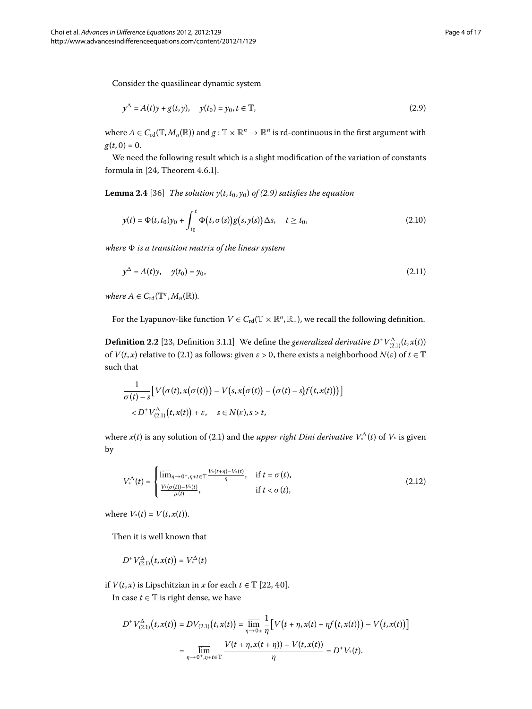Consider the quasilinear dynamic system

<span id="page-3-0"></span>
$$
y^{\Delta} = A(t)y + g(t, y), \quad y(t_0) = y_0, t \in \mathbb{T},
$$
\n(2.9)

where  $A \in C_{\text{rd}}(\mathbb{T}, M_n(\mathbb{R}))$  and  $g: \mathbb{T} \times \mathbb{R}^n \to \mathbb{R}^n$  is rd-continuous in the first argument with  $g(t, 0) = 0.$ 

We need the following result which is a slight modification of the variation of constants formula in  $[24,$  Theorem  $4.6.1]$ .

**Lemma 2[.](#page-3-0)4** [\[](#page-16-3)36] *The solution y*( $t$ ,  $t$ <sub>0</sub>,  $y$ <sub>0</sub>) *of* (2.9) *satisfies the equation* 

$$
y(t) = \Phi(t, t_0)y_0 + \int_{t_0}^t \Phi(t, \sigma(s))g(s, y(s)) \Delta s, \quad t \ge t_0,
$$
\n(2.10)

*where is a transition matrix of the linear system*

$$
y^{\Delta} = A(t)y, \quad y(t_0) = y_0,
$$
\n(2.11)

*where*  $A \in C_{\rm rd}(\mathbb{T}^k, M_n(\mathbb{R}))$ *.* 

For the Lyapunov-like function  $V \in C_{rd}(\mathbb{T} \times \mathbb{R}^n, \mathbb{R}_+)$ , we recall the following definition.

**Definition 2.2** [23, Definition 3.1.1] We define the *generalized derivative*  $D^+V_{(2,1)}^{\Delta}(t, x(t))$ of  $V(t, x)$  relative to (2[.](#page-1-0)1) as follows: given  $\varepsilon > 0$ , there exists a neighborhood  $N(\varepsilon)$  of  $t \in \mathbb{T}$ such that

$$
\frac{1}{\sigma(t)-s} \big[ V(\sigma(t),x(\sigma(t))) - V(s,x(\sigma(t)) - (\sigma(t)-s)f(t,x(t))) \big] \n\langle D^+V_{(2,1)}^{\Delta}(t,x(t)) + \varepsilon, \quad s \in N(\varepsilon), s > t,
$$

where  $x(t)$  is any solution of (2.1) and the *upper right Dini derivative*  $V^{\Delta}_*(t)$  of  $V^*$  is given by

$$
V_{*}^{\Delta}(t) = \begin{cases} \overline{\lim}_{\eta \to 0^{+}, \eta + t \in \mathbb{T}} \frac{V_{*}(t+\eta) - V_{*}(t)}{\eta}, & \text{if } t = \sigma(t), \\ \frac{V_{*}(\sigma(t)) - V_{*}(t)}{\mu(t)}, & \text{if } t < \sigma(t), \end{cases}
$$
(2.12)

where  $V_*(t) = V(t, x(t))$ .

Then it is well known that

$$
D^{+}V_{(2.1)}^{\Delta}(t, x(t)) = V^{\Delta}_{*}(t)
$$

if *V*(*t*, *x*) is Lipschitzian in *x* for each  $t \in$  T [22, 40].

In case  $t \in T$  is right dense, we have

$$
D^{+}V_{(2,1)}^{\Delta}(t,x(t)) = DV_{(2,1)}(t,x(t)) = \overline{\lim}_{\eta \to 0+} \frac{1}{\eta} \Big[ V(t + \eta,x(t) + \eta f(t,x(t))) - V(t,x(t)) \Big]
$$
  
= 
$$
\overline{\lim}_{\eta \to 0^+, \eta + t \in \mathbb{T}} \frac{V(t + \eta,x(t + \eta)) - V(t,x(t))}{\eta} = D^{+}V_{*}(t).
$$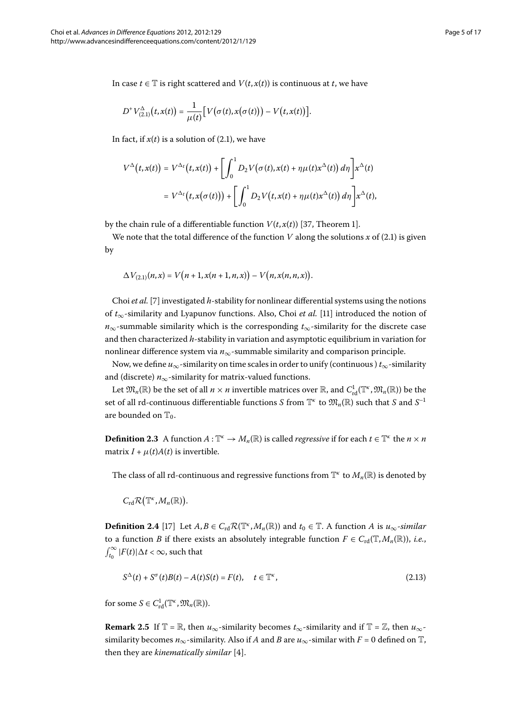In case *t* ∈  $\mathbb T$  is right scattered and *V*(*t*, *x*(*t*)) is continuous at *t*, we have

$$
D^+V_{(2,1)}^{\Delta}(t,x(t))=\frac{1}{\mu(t)}\big[ V(\sigma(t),x(\sigma(t)))-V(t,x(t))\big].
$$

In fact, if  $x(t)$  is a solution of (2[.](#page-1-0)1), we have

$$
V^{\Delta}(t, x(t)) = V^{\Delta_t}(t, x(t)) + \left[\int_0^1 D_2 V(\sigma(t), x(t) + \eta \mu(t) x^{\Delta}(t)) d\eta\right] x^{\Delta}(t)
$$
  
=  $V^{\Delta_t}(t, x(\sigma(t))) + \left[\int_0^1 D_2 V(t, x(t) + \eta \mu(t) x^{\Delta}(t)) d\eta\right] x^{\Delta}(t),$ 

by the chain rule of a differentiable function  $V(t, x(t))$  [\[](#page-16-4)37, Theorem 1].

We note that the total difference of the function *V* along the solutions  $x$  of (2.1) is given by

$$
\Delta V_{(2,1)}(n,x) = V\big(n+1,x(n+1,n,x)\big) - V\big(n,x(n,n,x)\big).
$$

Choi *et al.* [\[](#page-15-18)7] investigated *h*-stability for nonlinear differential systems using the notions of *t*∞-similarity and Lyapunov functions. Also, Choi *et al.* [\[\]](#page-15-22) introduced the notion of *n*∞-summable similarity which is the corresponding *t*∞-similarity for the discrete case and then characterized *h*-stability in variation and asymptotic equilibrium in variation for nonlinear difference system via  $n_{\infty}$ -summable similarity and comparison principle.

Now, we define *u*∞-similarity on time scales in order to unify (continuous ) *t*∞-similarity and (discrete)  $n_{\infty}$ -similarity for matrix-valued functions.

Let  $\mathfrak{M}_n(\mathbb{R})$  be the set of all  $n \times n$  invertible matrices over  $\mathbb{R}$ , and  $C^1_{\rm rd}(\mathbb{T}^\kappa, \mathfrak{M}_n(\mathbb{R}))$  be the set of all rd-continuous differentiable functions *S* from  $\mathbb{T}^k$  to  $\mathfrak{M}_n(\mathbb{R})$  such that *S* and *S*<sup>-1</sup> are bounded on  $\mathbb{T}_0$ .

**Definition 2.3** A function  $A: \mathbb{T}^k \to M_n(\mathbb{R})$  is called *regressive* if for each  $t \in \mathbb{T}^k$  the  $n \times n$ matrix  $I + \mu(t)A(t)$  is invertible.

The class of all rd-continuous and regressive functions from  $\mathbb{T}^k$  to  $M_n(\mathbb{R})$  is denoted by

 $C_{\rm rd} \mathcal{R}(\mathbb{T}^{\kappa}, M_n(\mathbb{R})).$ 

**Definition 2.4** [\[](#page-15-28)17] Let  $A, B \in C_{rd} \mathcal{R}(\mathbb{T}^k, M_n(\mathbb{R}))$  and  $t_0 \in \mathbb{T}$ . A function *A* is  $u_{\infty}$ -*similar* to a function *B* if there exists an absolutely integrable function  $F \in C_{\rm rd}(\mathbb{T}, M_n(\mathbb{R}))$ , *i.e.*,  $\int_{t_0}^{\infty} |F(t)| \Delta t < \infty$ , such that

$$
S^{\Delta}(t) + S^{\sigma}(t)B(t) - A(t)S(t) = F(t), \quad t \in \mathbb{T}^{\kappa},
$$
\n(2.13)

for some  $S \in C^1_{\text{rd}}(\mathbb{T}^k, \mathfrak{M}_n(\mathbb{R})).$ 

**Remark 2.5** If  $\mathbb{T} = \mathbb{R}$ , then *u*<sub>∞</sub>-similarity becomes *t*<sub>∞</sub>-similarity and if  $\mathbb{T} = \mathbb{Z}$ , then *u*<sub>∞</sub>similarity becomes  $n_{\infty}$ -similarity. Also if *A* and *B* are  $u_{\infty}$ -similar with  $F = 0$  defined on T, then they are *kinematically similar* [4].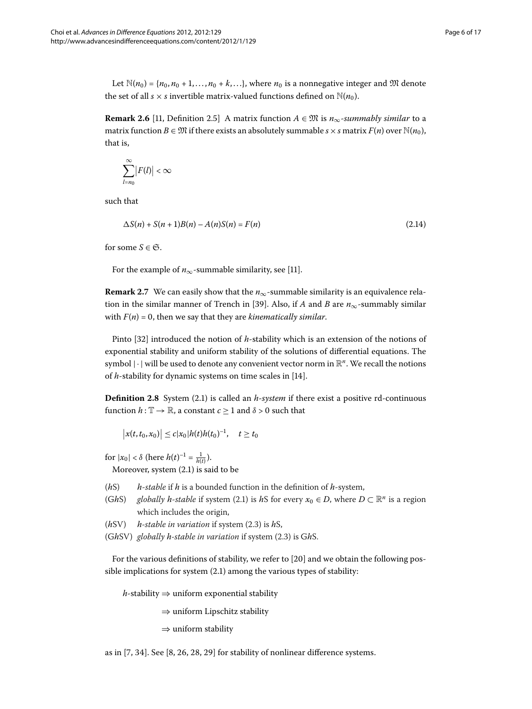Let  $\mathbb{N}(n_0) = \{n_0, n_0 + 1, \ldots, n_0 + k, \ldots\}$ , where  $n_0$  is a nonnegative integer and  $\mathfrak{M}$  denote the set of all *s* × *s* invertible matrix-valued functions defined on  $\mathbb{N}(n_0)$ .

**Remark 2.6** [11, Definition 2.5] A matrix function  $A \in \mathfrak{M}$  is  $n_{\infty}$ -summably similar to a matrix function  $B \in \mathfrak{M}$  if there exists an absolutely summable  $s \times s$  matrix  $F(n)$  over  $\mathbb{N}(n_0)$ , that is,

$$
\sum_{l=n_0}^{\infty} |F(l)| < \infty
$$

such that

$$
\Delta S(n) + S(n+1)B(n) - A(n)S(n) = F(n)
$$
\n(2.14)

for some  $S \in \mathfrak{S}$ .

For the example of  $n_{\infty}$ -summable similarity, see [\[](#page-15-22)11].

**Remark 2.7** We can easily show that the  $n_{\infty}$ -summable similarity is an equivalence rela-tion in the similar manner of Trench in [39[\]](#page-16-2). Also, if *A* and *B* are  $n_{\infty}$ -summably similar with  $F(n) = 0$ , then we say that they are *kinematically similar*.

Pinto [\[](#page-15-11)32] introduced the notion of *h*-stability which is an extension of the notions of exponential stability and uniform stability of the solutions of differential equations. The symbol |·| will be used to denote any convenient vector norm in <sup>R</sup>*<sup>n</sup>*. We recall the notions of *h*-stability for dynamic systems on time scales in [14[\]](#page-15-30).

**Definition 2.8** System (2.1) is called an *h*-*system* if there exist a positive rd-continuous function  $h: \mathbb{T} \to \mathbb{R}$ , a constant  $c \geq 1$  and  $\delta > 0$  such that

 $|x(t, t_0, x_0)| \leq c |x_0| h(t) h(t_0)^{-1}, \quad t \geq t_0$ 

for  $|x_0| < \delta$  (here  $h(t)^{-1} = \frac{1}{h(t)}$ ).

Moreover, system  $(2.1)$  is said to be

- (*h*S) *h*-*stable* if *h* is a bounded function in the definition of *h*-system,
- (GhS) *globally h*-*stable* if system (2[.](#page-1-0)1) is *hS* for every  $x_0 \in D$ , where  $D \subset \mathbb{R}^n$  is a region which includes the origin,
- $(hSV)$  *h*-stable in variation if system  $(2.3)$  is hS,
- (GhSV) globally h-stable in variation if system (2.3) is GhS.

For the various definitions of stability, we refer to [20] and we obtain the following possible implications for system  $(2.1)$  among the various types of stability:

*h*-stability ⇒ uniform exponential stability

 $\Rightarrow$  uniform Lipschitz stability

 $\Rightarrow$  uniform stability

as in  $[7, 34]$  $[7, 34]$  $[7, 34]$  $[7, 34]$ . See  $[8, 26, 28, 29]$  $[8, 26, 28, 29]$  for stability of nonlinear difference systems.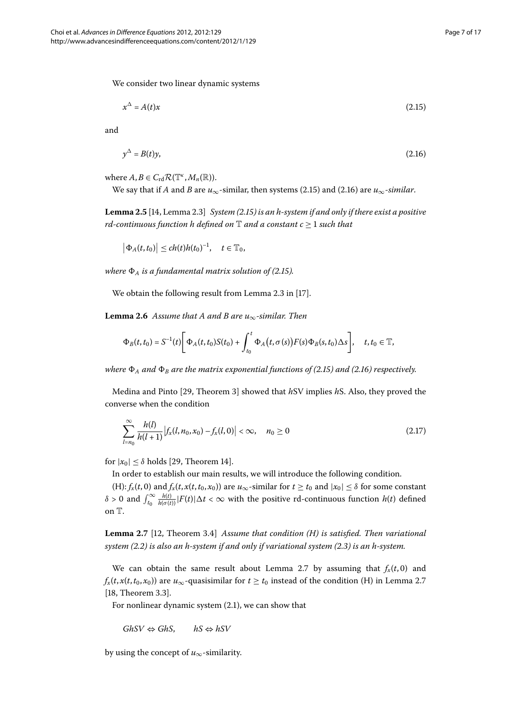We consider two linear dynamic systems

<span id="page-6-1"></span><span id="page-6-0"></span>
$$
x^{\Delta} = A(t)x \tag{2.15}
$$

and

<span id="page-6-3"></span>
$$
y^{\Delta} = B(t)y,\tag{2.16}
$$

where  $A, B \in C_{\rm rd} \mathcal{R}(\mathbb{T}^k, M_n(\mathbb{R})).$ 

We say that if *A* and *B* are  $u_{\infty}$ -similar, then systems (2.15) and (2.16) are  $u_{\infty}$ -similar.

**Lemma 2.5** [14[,](#page-15-30) Lemma 2.3] *System (2.15) is an h-system if and only if there exist a positive rd-continuous function h defined on*  $\mathbb T$  *and a constant c*  $\geq$  1 *such that* 

$$
\big|\Phi_A(t,t_0)\big|\leq ch(t)h(t_0)^{-1},\quad t\in\mathbb{T}_0,
$$

*where*  $\Phi_A$  *is a fundamental matrix solution of (2.15).* 

We obtain the following result from Lemma 2.3 in [\[](#page-15-28)17].

**Lemma 2.6** Assume that A and B are  $u_{\infty}$ -similar. Then

$$
\Phi_B(t,t_0)=S^{-1}(t)\bigg[\Phi_A(t,t_0)S(t_0)+\int_{t_0}^t\Phi_A(t,\sigma(s))F(s)\Phi_B(s,t_0)\Delta s\bigg],\quad t,t_0\in\mathbb{T},
$$

*where*  $\Phi_A$  *and*  $\Phi_B$  *are the matrix exponential functions of (2[.](#page-6-1)15) and (2.16) respectively.* 

Medina and Pinto [29[,](#page-15-12) Theorem 3] showed that *hSV* implies *hS*. Also, they proved the converse when the condition

<span id="page-6-2"></span>
$$
\sum_{l=n_0}^{\infty} \frac{h(l)}{h(l+1)} |f_x(l, n_0, x_0) - f_x(l, 0)| < \infty, \quad n_0 \ge 0
$$
\n(2.17)

for  $|x_0| \leq \delta$  holds [29, Theorem 14].

In order to establish our main results, we will introduce the following condition.

 $(H): f_x(t,0)$  and  $f_x(t,x(t,t_0,x_0))$  are  $u_\infty$ -similar for  $t \ge t_0$  and  $|x_0| \le \delta$  for some constant  $\delta > 0$  and  $\int_{t_0}^{\infty} \frac{h(t)}{h(\sigma(t))} |F(t)| \Delta t < \infty$  with the positive rd-continuous function  $h(t)$  defined on T.

**Lemma 2.7** [\[](#page-15-23)12, Theorem 3.4] *Assume that condition (H) is satisfied. Then variational system (2.2) is also an h-system if and only if variational system (2.3) is an h-system.* 

We can obtain the same result about Lemma 2[.](#page-6-2)7 by assuming that  $f_x(t,0)$  and  $f_x(t, x(t, t_0, x_0))$  are  $u_\infty$ -quasisimilar for  $t \ge t_0$  instead of the condition (H) in Lemma 2[.](#page-6-2)7  $[18,$  $[18,$  Theorem 3.3].

For nonlinear dynamic system  $(2.1)$  $(2.1)$  $(2.1)$ , we can show that

 $GhSV$  ⇔  $GhS$ , *hS* ⇔  $hSV$ 

by using the concept of *u*∞-similarity.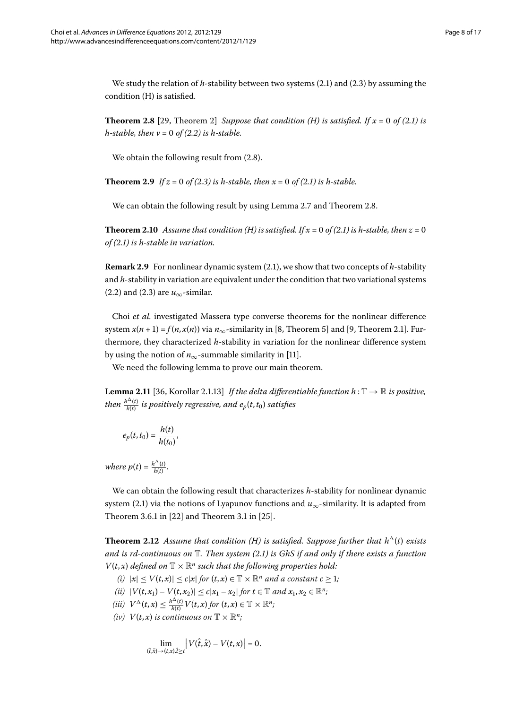<span id="page-7-0"></span>We study the relation of  $h$ -stability between two systems  $(2.1)$  $(2.1)$  $(2.1)$  and  $(2.3)$  by assuming the condition (H) is satisfied.

**Theorem 2.8** [29, Theorem 2] *Suppose that condition (H) is satisfied. If*  $x = 0$  *of (2.1) is h*-stable, then  $v = 0$  of (2.2) is h-stable.

<span id="page-7-1"></span>We obtain the following result from  $(2.8)$ .

**Theorem 2.9** If  $z = 0$  of (2.3) is h-stable, then  $x = 0$  of (2.1) is h-stable.

We can obtain the following result by using Lemma 2[.](#page-6-2)7 and Theorem 2.8.

**Theorem 2.10** Assume that condition (H) is satisfied. If  $x = 0$  of (2.1) is h-stable, then  $z = 0$ *of [\(.\)](#page-1-0) is h-stable in variation.*

**Remark 2.9** For nonlinear dynamic system (2.1), we show that two concepts of *h*-stability and *h*-stability in variation are equivalent under the condition that two variational systems (2.2) and (2.3) are  $u_{\infty}$ -similar.

Choi *et al.* investigated Massera type converse theorems for the nonlinear difference system  $x(n+1) = f(n, x(n))$  $x(n+1) = f(n, x(n))$  $x(n+1) = f(n, x(n))$  via  $n_{\infty}$ -similarity in [\[](#page-15-21)8, Theorem 5] and [9, Theorem 2.1]. Furthermore, they characterized *h*-stability in variation for the nonlinear difference system by using the notion of  $n_{\infty}$ -summable similarity in [11[\]](#page-15-22).

We need the following lemma to prove our main theorem.

**Lemma 2.11** [36, Korollar 2.1.13] If the delta differentiable function  $h : \mathbb{T} \to \mathbb{R}$  is positive, *then*  $\frac{h^{\Delta}(t)}{h(t)}$  *is positively regressive, and*  $e_{p}(t,t_{0})$  *satisfies* 

$$
e_p(t,t_0)=\frac{h(t)}{h(t_0)},
$$

<span id="page-7-2"></span>*where*  $p(t) = \frac{h^{\Delta}(t)}{h(t)}$ .

We can obtain the following result that characterizes *h*-stability for nonlinear dynamic system (2.1) via the notions of Lyapunov functions and  $u_{\infty}$ -similarity. It is adapted from Theorem 3.6.1 in  $[22]$  $[22]$  and Theorem 3.1 in  $[25]$ .

**Theorem 2.12** Assume that condition (H) is satisfied. Suppose further that  $h^{\Delta}(t)$  exists *and is rd-continuous on* T*. Then system ([.](#page-1-0)) is GhS if and only if there exists a function*  $V(t, x)$  *defined on*  $\mathbb{T} \times \mathbb{R}^n$  *such that the following properties hold:* 

- *(i)*  $|x| \leq V(t,x)| \leq c|x|$  for  $(t,x) \in \mathbb{T} \times \mathbb{R}^n$  and a constant  $c \geq 1$ ;
- $(iii)$   $|V(t, x_1) V(t, x_2)| \le c|x_1 x_2|$  for  $t \in \mathbb{T}$  and  $x_1, x_2 \in \mathbb{R}^n$ ;
- $(iii)$   $V^{\Delta}(t,x) \leq \frac{h^{\Delta}(t)}{h(t)} V(t,x)$  for  $(t,x) \in \mathbb{T} \times \mathbb{R}^n$ ;
- *(iv)*  $V(t, x)$  *is continuous on*  $\mathbb{T} \times \mathbb{R}^n$ *;*

$$
\lim_{(\hat{t},\hat{x}) \to (t,x),\hat{t} \ge t} |V(\hat{t},\hat{x}) - V(t,x)| = 0.
$$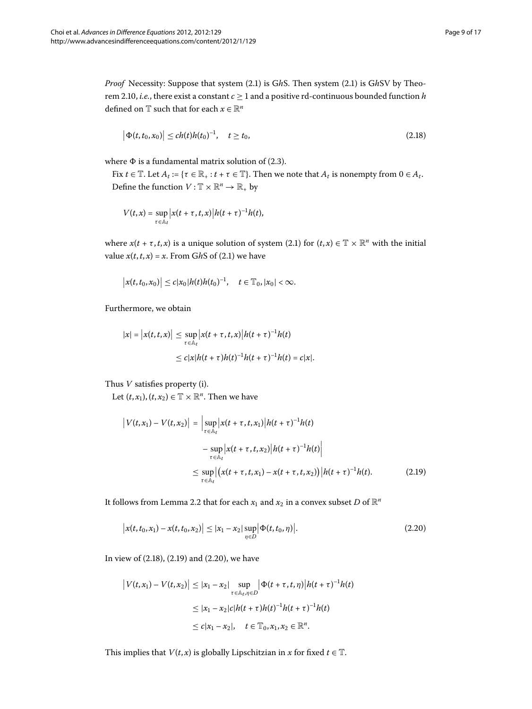*Proof* Necessity: Suppose that system (2[.](#page-1-0)1) is GhS. Then system (2.1) is GhSV by Theo-rem 2[.](#page-7-1)10, *i.e.*, there exist a constant  $c \ge 1$  and a positive rd-continuous bounded function *h* defined on  $\mathbb T$  such that for each  $x \in \mathbb R^n$ 

<span id="page-8-0"></span>
$$
\left|\Phi(t,t_0,x_0)\right| \le ch(t)h(t_0)^{-1}, \quad t \ge t_0,
$$
\n(2.18)

where  $\Phi$  is a fundamental matrix solution of (2.3).

Fix  $t \in \mathbb{T}$ . Let  $A_t := \{ \tau \in \mathbb{R}_+ : t + \tau \in \mathbb{T} \}$ . Then we note that  $A_t$  is nonempty from  $0 \in A_t$ . Define the function  $V : \mathbb{T} \times \mathbb{R}^n \to \mathbb{R}_+$  by

$$
V(t,x)=\sup_{\tau\in\mathbb{A}_t}\big|x(t+\tau,t,x)\big|h(t+\tau)^{-1}h(t),
$$

where  $x(t + \tau, t, x)$  is a unique solution of system (2[.](#page-1-0)1) for  $(t, x) \in \mathbb{T} \times \mathbb{R}^n$  with the initial value  $x(t, t, x) = x$ . From GhS of (2.1) we have

$$
\big|x(t,t_0,x_0)\big|\leq c|x_0|h(t)h(t_0)^{-1},\quad t\in\mathbb{T}_0,|x_0|<\infty.
$$

<span id="page-8-1"></span>Furthermore, we obtain

$$
|x| = |x(t, t, x)| \le \sup_{\tau \in \mathbb{A}_t} |x(t + \tau, t, x)| h(t + \tau)^{-1} h(t)
$$
  

$$
\le c |x| h(t + \tau) h(t)^{-1} h(t + \tau)^{-1} h(t) = c |x|.
$$

Thus *V* satisfies property (i).

Let  $(t, x_1)$ ,  $(t, x_2) \in \mathbb{T} \times \mathbb{R}^n$ . Then we have

<span id="page-8-2"></span>
$$
\left| V(t, x_1) - V(t, x_2) \right| = \left| \sup_{\tau \in \mathbb{A}_t} \left| x(t + \tau, t, x_1) \right| h(t + \tau)^{-1} h(t) \right|
$$
  
- 
$$
\sup_{\tau \in \mathbb{A}_t} \left| x(t + \tau, t, x_2) \right| h(t + \tau)^{-1} h(t) \right|
$$
  

$$
\leq \sup_{\tau \in \mathbb{A}_t} \left| \left( x(t + \tau, t, x_1) - x(t + \tau, t, x_2) \right) \right| h(t + \tau)^{-1} h(t).
$$
 (2.19)

It follows from Lemma 2[.](#page-1-3)2 that for each  $x_1$  and  $x_2$  in a convex subset *D* of  $\mathbb{R}^n$ 

$$
\big|x(t,t_0,x_1)-x(t,t_0,x_2)\big| \le |x_1-x_2|\sup_{\eta\in D}\big|\Phi(t,t_0,\eta)\big|.\tag{2.20}
$$

In view of  $(2.18)$  $(2.18)$  $(2.18)$ ,  $(2.19)$  and  $(2.20)$ , we have

$$
\begin{aligned} \left| V(t, x_1) - V(t, x_2) \right| &\leq |x_1 - x_2| \sup_{\tau \in \mathbb{A}_t, \eta \in D} \left| \Phi(t + \tau, t, \eta) \right| h(t + \tau)^{-1} h(t) \\ &\leq |x_1 - x_2| c |h(t + \tau) h(t)^{-1} h(t + \tau)^{-1} h(t) \\ &\leq c |x_1 - x_2|, \quad t \in \mathbb{T}_0, x_1, x_2 \in \mathbb{R}^n. \end{aligned}
$$

This implies that *V*(*t*, *x*) is globally Lipschitzian in *x* for fixed *t*  $\in$  T.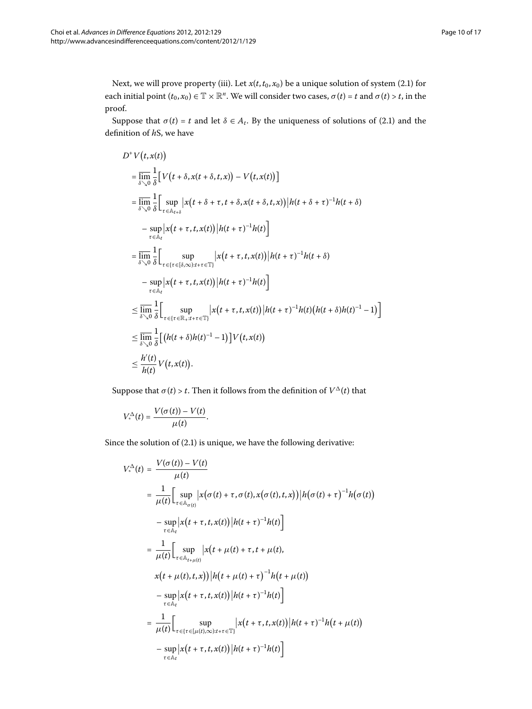Next, we will prove property (iii). Let  $x(t, t_0, x_0)$  be a unique solution of system (2.1) for each initial point  $(t_0, x_0) \in \mathbb{T} \times \mathbb{R}^n$ . We will consider two cases,  $\sigma(t) = t$  and  $\sigma(t) > t$ , in the proof.

Suppose that  $\sigma(t) = t$  and let  $\delta \in A_t$ [.](#page-1-0) By the uniqueness of solutions of (2.1) and the definition of *h*S, we have

$$
D^+V(t, x(t))
$$
\n
$$
= \lim_{\delta \searrow 0} \frac{1}{\delta} [V(t + \delta, x(t + \delta, t, x)) - V(t, x(t))]
$$
\n
$$
= \lim_{\delta \searrow 0} \frac{1}{\delta} \Big[ \sup_{\tau \in \mathbb{A}_{t+\delta}} |x(t + \delta + \tau, t + \delta, x(t + \delta, t, x))| h(t + \delta + \tau)^{-1} h(t + \delta)
$$
\n
$$
- \sup_{\tau \in \mathbb{A}_t} |x(t + \tau, t, x(t))| h(t + \tau)^{-1} h(t) \Big]
$$
\n
$$
= \lim_{\delta \searrow 0} \frac{1}{\delta} \Big[ \sup_{\tau \in \{\tau \in [\delta, \infty): t + \tau \in \mathbb{T}\}} |x(t + \tau, t, x(t))| h(t + \tau)^{-1} h(t + \delta)
$$
\n
$$
- \sup_{\tau \in \mathbb{A}_t} |x(t + \tau, t, x(t))| h(t + \tau)^{-1} h(t) \Big]
$$
\n
$$
\leq \lim_{\delta \searrow 0} \frac{1}{\delta} \Big[ \sup_{\tau \in \{\tau \in \mathbb{R}_+ : t + \tau \in \mathbb{T}\}} |x(t + \tau, t, x(t))| h(t + \tau)^{-1} h(t) (h(t + \delta) h(t)^{-1} - 1) \Big]
$$
\n
$$
\leq \lim_{\delta \searrow 0} \frac{1}{\delta} \Big[ (h(t + \delta) h(t)^{-1} - 1) \Big] V(t, x(t))
$$
\n
$$
\leq \frac{h'(t)}{h(t)} V(t, x(t)).
$$

Suppose that  $\sigma(t) > t$ . Then it follows from the definition of  $V^{\Delta}(t)$  that

$$
V^{\Delta}_{*}(t) = \frac{V(\sigma(t)) - V(t)}{\mu(t)}.
$$

Since the solution of  $(2.1)$  is unique, we have the following derivative:

$$
V_{*}^{\Delta}(t) = \frac{V(\sigma(t)) - V(t)}{\mu(t)}
$$
  
\n
$$
= \frac{1}{\mu(t)} \Bigg[ \sup_{\tau \in \mathbb{A}_{\sigma(t)}} |x(\sigma(t) + \tau, \sigma(t), x(\sigma(t), t, x))| |h(\sigma(t) + \tau)^{-1} h(\sigma(t))
$$
  
\n
$$
- \sup_{\tau \in \mathbb{A}_{t}} |x(t + \tau, t, x(t))| |h(t + \tau)^{-1} h(t)| \Bigg]
$$
  
\n
$$
= \frac{1}{\mu(t)} \Bigg[ \sup_{\tau \in \mathbb{A}_{t + \mu(t)}} |x(t + \mu(t) + \tau, t + \mu(t),
$$
  
\n
$$
x(t + \mu(t), t, x)) |h(t + \mu(t) + \tau)^{-1} h(t + \mu(t))
$$
  
\n
$$
- \sup_{\tau \in \mathbb{A}_{t}} |x(t + \tau, t, x(t))| |h(t + \tau)^{-1} h(t)| \Bigg]
$$
  
\n
$$
= \frac{1}{\mu(t)} \Bigg[ \sup_{\tau \in \{\tau \in [\mu(t), \infty): t + \tau \in \mathbb{T}]} |x(t + \tau, t, x(t))| |h(t + \tau)^{-1} h(t + \mu(t))
$$
  
\n
$$
- \sup_{\tau \in \mathbb{A}_{t}} |x(t + \tau, t, x(t))| |h(t + \tau)^{-1} h(t)| \Bigg]
$$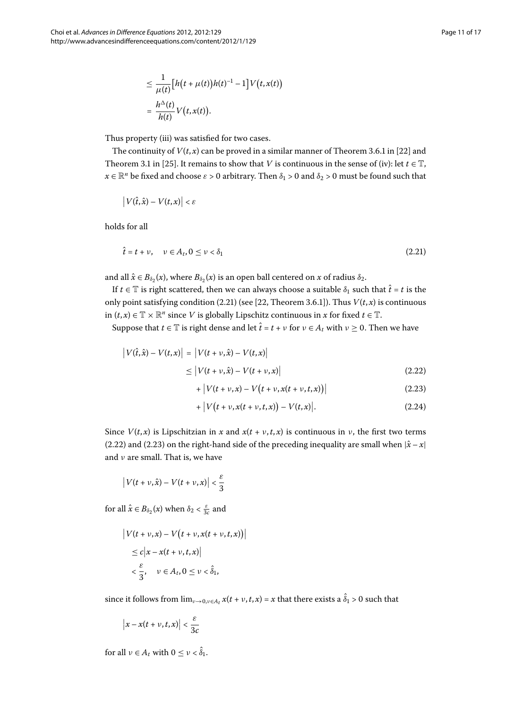<span id="page-10-0"></span>
$$
\leq \frac{1}{\mu(t)} \Big[ h(t + \mu(t))h(t)^{-1} - 1 \Big] V(t, x(t))
$$
  
= 
$$
\frac{h^{\Delta}(t)}{h(t)} V(t, x(t)).
$$

Thus property (iii) was satisfied for two cases.

The continuity of  $V(t, x)$  can be proved in a similar manner of Theorem 3.6.1 in [22] and Theorem 3.1 in [25[\]](#page-15-26). It remains to show that *V* is continuous in the sense of (iv): let  $t \in \mathbb{T}$ ,  $x \in \mathbb{R}^n$  be fixed and choose  $\varepsilon > 0$  arbitrary. Then  $\delta_1 > 0$  and  $\delta_2 > 0$  must be found such that

$$
\left|V(\hat{t},\hat{x})-V(t,x)\right|<\varepsilon
$$

holds for all

$$
\hat{t} = t + \nu, \quad \nu \in A_t, 0 \le \nu < \delta_1 \tag{2.21}
$$

and all  $\hat{x} \in B_{\delta}(\mathbf{x})$ , where  $B_{\delta}(\mathbf{x})$  is an open ball centered on  $\mathbf{x}$  of radius  $\delta_2$ .

<span id="page-10-1"></span>If  $t \in \mathbb{T}$  is right scattered, then we can always choose a suitable  $\delta_1$  such that  $\hat{t} = t$  is the only point satisfying condition (2[.](#page-10-0)21) (see [22[,](#page-15-9) Theorem 3.6.1]). Thus  $V(t, x)$  is continuous in  $(t, x)$  ∈  $\mathbb{T} \times \mathbb{R}^n$  since *V* is globally Lipschitz continuous in *x* for fixed *t* ∈  $\mathbb{T}$ .

<span id="page-10-3"></span><span id="page-10-2"></span>Suppose that  $t \in \mathbb{T}$  is right dense and let  $\hat{t} = t + v$  for  $v \in A_t$  with  $v \ge 0$ . Then we have

$$
\begin{aligned} \left| V(\hat{t}, \hat{x}) - V(t, x) \right| &= \left| V(t + v, \hat{x}) - V(t, x) \right| \\ &\le \left| V(t + v, \hat{x}) - V(t + v, x) \right| \end{aligned} \tag{2.22}
$$

+ 
$$
|V(t + v, x) - V(t + v, x(t + v, t, x))|
$$
 (2.23)

+ 
$$
|V(t + v, x(t + v, t, x)) - V(t, x)|
$$
. (2.24)

Since  $V(t, x)$  is Lipschitzian in x and  $x(t + v, t, x)$  is continuous in v, the first two terms (2[.](#page-10-1)22) and (2.23) on the right-hand side of the preceding inequality are small when  $|\hat{x} - x|$ and *ν* are small. That is, we have

$$
\left|V(t+\nu,\hat{x})-V(t+\nu,x)\right|<\frac{\varepsilon}{3}
$$

for all  $\hat{x} \in B_{\delta_2}(x)$  when  $\delta_2 < \frac{\varepsilon}{3c}$  and

$$
\left| V(t + \nu, x) - V(t + \nu, x(t + \nu, t, x)) \right|
$$
  
\n
$$
\leq c \left| x - x(t + \nu, t, x) \right|
$$
  
\n
$$
< \frac{\varepsilon}{3}, \quad \nu \in A_t, 0 \leq \nu < \hat{\delta}_1,
$$

since it follows from  $\lim_{v\to 0, v\in A_t} x(t+v,t,x) = x$  that there exists a  $\delta_1 > 0$  such that

$$
\left|x - x(t + v, t, x)\right| < \frac{\varepsilon}{3c}
$$

for all  $\nu \in A_t$  with  $0 \le \nu < \delta_1$ .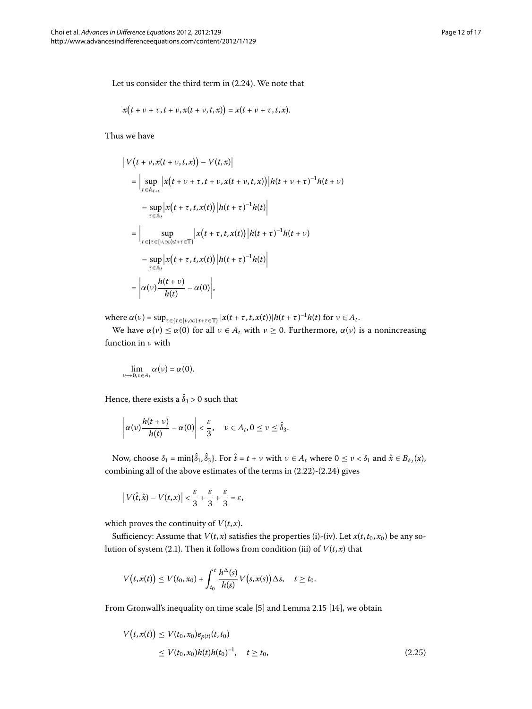Let us consider the third term in  $(2.24)$  $(2.24)$  $(2.24)$ . We note that

$$
x(t+\nu+\tau,t+\nu,x(t+\nu,t,x))=x(t+\nu+\tau,t,x).
$$

Thus we have

$$
\begin{split}\n\left|V\left(t+\nu,x(t+\nu,t,x)\right)-V(t,x)\right| \\
&= \Big|\sup_{\tau\in\mathbb{A}_{t+\nu}}\left|x\left(t+\nu+\tau,t+\nu,x(t+\nu,t,x)\right)\right|h(t+\nu+\tau)^{-1}h(t+\nu) \\
&-\sup_{\tau\in\mathbb{A}_t}\left|x\left(t+\tau,t,x(t)\right)\right|h(t+\tau)^{-1}h(t)\Big| \\
&= \Big|\sup_{\tau\in\{\tau\in[v,\infty):t+\tau\in\mathbb{T}\}}\left|x\left(t+\tau,t,x(t)\right)\right|h(t+\tau)^{-1}h(t+\nu) \\
&-\sup_{\tau\in\mathbb{A}_t}\left|x\left(t+\tau,t,x(t)\right)\right|h(t+\tau)^{-1}h(t)\Big| \\
&= \left|\alpha(\nu)\frac{h(t+\nu)}{h(t)}-\alpha(0)\right|,\n\end{split}
$$

 $\alpha(v) = \sup_{\tau \in \{\tau \in [v,\infty): t + \tau \in \mathbb{T}\}} |x(t + \tau, t, x(t))| h(t + \tau)^{-1} h(t) \text{ for } v \in A_t.$ 

We have *α*(*ν*) ≤ *α*(0) for all *ν* ∈ *A<sub>t</sub>* with *ν* ≥ 0. Furthermore, *α*(*ν*) is a nonincreasing function in *ν* with

$$
\lim_{\nu\to 0,\nu\in A_t}\alpha(\nu)=\alpha(0).
$$

Hence, there exists a  $\delta_3 > 0$  such that

$$
\left|\alpha(v)\frac{h(t+v)}{h(t)}-\alpha(0)\right|<\frac{\varepsilon}{3},\quad v\in A_t, 0\leq v\leq \hat{\delta}_3.
$$

Now, choose  $\delta_1 = \min{\delta_1, \delta_3}$ . For  $\hat{t} = t + v$  with  $v \in A_t$  where  $0 \le v < \delta_1$  and  $\hat{x} \in B_{\delta_2}(x)$ , combining all of the above estimates of the terms in  $(2.22)-(2.24)$  $(2.22)-(2.24)$  $(2.22)-(2.24)$  gives

$$
\left|V(\hat{t},\hat{x})-V(t,x)\right|<\frac{\varepsilon}{3}+\frac{\varepsilon}{3}+\frac{\varepsilon}{3}=\varepsilon,
$$

which proves the continuity of  $V(t, x)$ .

<span id="page-11-0"></span>Sufficiency: Assume that  $V(t, x)$  satisfies the properties (i)-(iv). Let  $x(t, t_0, x_0)$  be any so-lution of system (2[.](#page-1-0)1). Then it follows from condition (iii) of  $V(t, x)$  that

$$
V(t,x(t)) \leq V(t_0,x_0) + \int_{t_0}^t \frac{h^{\Delta}(s)}{h(s)} V(s,x(s)) \Delta s, \quad t \geq t_0.
$$

From Gronwall's inequality on time scale [5[\]](#page-15-4) and Lemma 2.15 [14], we obtain

$$
V(t, x(t)) \le V(t_0, x_0) e_{p(t)}(t, t_0)
$$
  
\n
$$
\le V(t_0, x_0) h(t) h(t_0)^{-1}, \quad t \ge t_0,
$$
\n(2.25)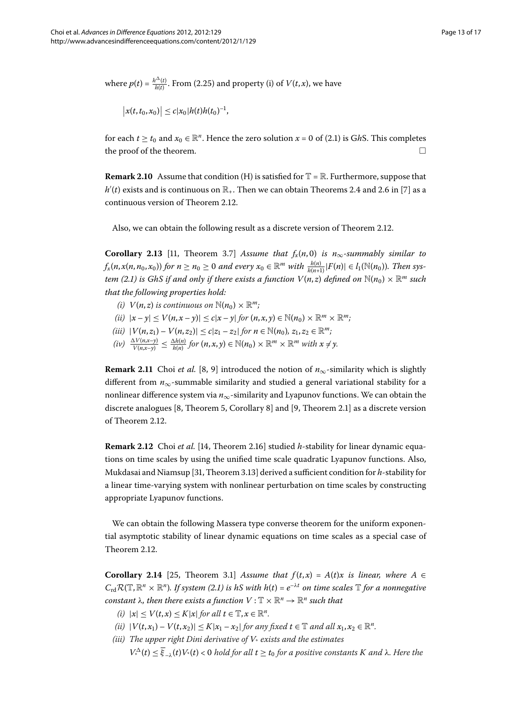where  $p(t) = \frac{h^{\Delta}(t)}{h(t)}$ [.](#page-11-0) From (2.25) and property (i) of  $V(t, x)$ , we have

$$
|x(t,t_0,x_0)| \leq c |x_0| h(t) h(t_0)^{-1},
$$

for each  $t \ge t_0$  and  $x_0 \in \mathbb{R}^n$ [.](#page-1-0) Hence the zero solution  $x = 0$  of (2.1) is GhS. This completes the proof of the theorem.  $\Box$ 

**Remark 2.10** Assume that condition (H) is satisfied for  $\mathbb{T} = \mathbb{R}$ . Furthermore, suppose that  $h'(t)$  exists and is continuous on  $\mathbb{R}_+$ . Then we can obtain Theorems 2.4 and 2.6 in [7[\]](#page-15-18) as a continuous version of Theorem 2[.](#page-7-2)12.

Also, we can obtain the following result as a discrete version of Theorem 2.12.

**Corollary 2.13** [11, Theorem 3.7] Assume that  $f_x(n,0)$  is  $n_\infty$ -summably similar to  $f_x(n, x(n, n_0, x_0))$  for  $n \ge n_0 \ge 0$  and every  $x_0 \in \mathbb{R}^m$  with  $\frac{h(n)}{h(n+1)}|F(n)| \in l_1(\mathbb{N}(n_0))$ . Then sys-*tem (2[.](#page-1-0)1) is GhS if and only if there exists a function*  $V(n,z)$  *defined on*  $\mathbb{N}(n_0) \times \mathbb{R}^m$  *such that the following properties hold:*

- *(i)*  $V(n, z)$  *is continuous on*  $\mathbb{N}(n_0) \times \mathbb{R}^m$ *;*
- $(iii)$   $|x y| < V(n, x y)| < c|x y|$  for  $(n, x, y) \in \mathbb{N}(n_0) \times \mathbb{R}^m \times \mathbb{R}^m$ ;
- *(iii)*  $|V(n, z_1) V(n, z_2)| \le c|z_1 z_2|$  *for*  $n \in \mathbb{N}(n_0)$ ,  $z_1, z_2 \in \mathbb{R}^m$ ;
- $(iv)$   $\frac{\Delta V(n,x-y)}{V(n,x-y)} \leq \frac{\Delta h(n)}{h(n)}$  for  $(n,x,y) \in \mathbb{N}(n_0) \times \mathbb{R}^m \times \mathbb{R}^m$  with  $x \neq y$ .

**Remark 2.11** Choi *et al.* [8[,](#page-15-20) 9] introduced the notion of  $n_{\infty}$ -similarity which is slightly different from  $n_{\infty}$ -summable similarity and studied a general variational stability for a nonlinear difference system via *n*∞-similarity and Lyapunov functions. We can obtain the discrete analogues [8[,](#page-15-20) Theorem 5, Corollary 8] and [\[](#page-15-21)9, Theorem 2.1] as a discrete version of Theorem 2[.](#page-7-2)12.

**Remark 2.12** Choi *et al.* [14[,](#page-15-30) Theorem 2.16] studied *h*-stability for linear dynamic equations on time scales by using the unified time scale quadratic Lyapunov functions. Also, Mukdasai and Niamsup [31[,](#page-15-27) Theorem 3.13] derived a sufficient condition for *h*-stability for a linear time-varying system with nonlinear perturbation on time scales by constructing appropriate Lyapunov functions.

We can obtain the following Massera type converse theorem for the uniform exponential asymptotic stability of linear dynamic equations on time scales as a special case of Theorem 2[.](#page-7-2)12.

**Corollary 2.14** [25[,](#page-15-26) Theorem 3.1] Assume that  $f(t,x) = A(t)x$  is linear, where A  $\in$  $C_{\rm rd}R(\mathbb{T},\mathbb{R}^n\times\mathbb{R}^n)$ [.](#page-1-0) If system (2.1) is hS with  $h(t)=e^{-\lambda t}$  on time scales  $\mathbb T$  for a nonnegative *constant*  $\lambda$ *, then there exists a function*  $V : \mathbb{T} \times \mathbb{R}^n \to \mathbb{R}^n$  *such that* 

- $\mathbb{R}^n$   $|x| \leq V(t,x) \leq K|x|$  *for all*  $t \in \mathbb{T}, x \in \mathbb{R}^n$ .
- *(ii)*  $|V(t, x_1) V(t, x_2)| \le K|x_1 x_2|$  *for any fixed*  $t \in \mathbb{T}$  *and all*  $x_1, x_2 \in \mathbb{R}^n$ *.*
- *(iii) The upper right Dini derivative of V*\* *exists and the estimates*

*V*<sub>\*</sub><sup> $\Delta$ </sup>(*t*)  $\leq \overline{\xi}_{-\lambda}(t)$ *V*<sub>\*</sub>(*t*) < 0 *hold for all t*  $\geq t_0$  *for a positive constants K and λ. Here the*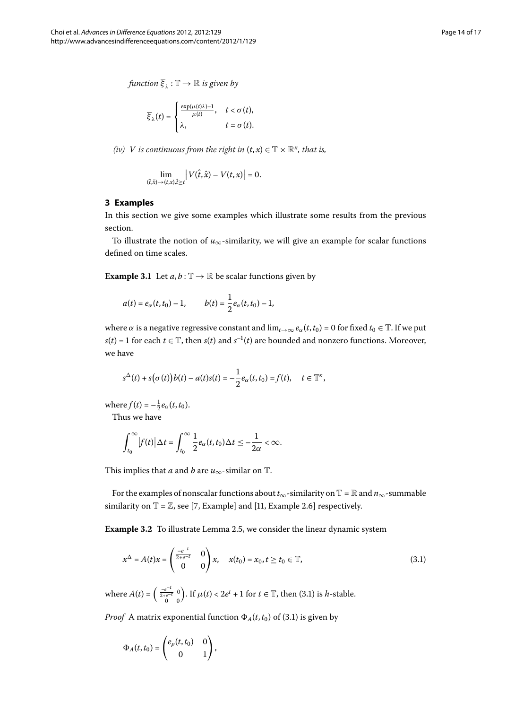$$
\overline{\xi}_{\lambda}(t) = \begin{cases} \frac{\exp(\mu(t)\lambda)-1}{\mu(t)}, & t < \sigma(t), \\ \lambda, & t = \sigma(t). \end{cases}
$$

*(iv) V is continuous from the right in*  $(t, x) \in \mathbb{T} \times \mathbb{R}^n$ *, that is,* 

$$
\lim_{(\hat{t},\hat{x}) \to (t,x),\hat{t} \geq t} |V(\hat{t},\hat{x}) - V(t,x)| = 0.
$$

### **3 Examples**

In this section we give some examples which illustrate some results from the previous section.

To illustrate the notion of  $u_{\infty}$ -similarity, we will give an example for scalar functions defined on time scales.

**Example 3.1** Let  $a, b : \mathbb{T} \to \mathbb{R}$  be scalar functions given by

$$
a(t) = e_{\alpha}(t, t_0) - 1, \qquad b(t) = \frac{1}{2}e_{\alpha}(t, t_0) - 1,
$$

where  $\alpha$  is a negative regressive constant and  $\lim_{t\to\infty} e_\alpha(t,t_0) = 0$  for fixed  $t_0 \in \mathbb{T}$ . If we put *s*(*t*) = 1 for each *t*  $\in$  T, then *s*(*t*) and *s*<sup>-1</sup>(*t*) are bounded and nonzero functions. Moreover, we have

$$
s^{\Delta}(t) + s(\sigma(t))b(t) - a(t)s(t) = -\frac{1}{2}e_{\alpha}(t,t_0) = f(t), \quad t \in \mathbb{T}^{\kappa},
$$

where  $f(t) = -\frac{1}{2}e_{\alpha}(t, t_0)$ .

Thus we have

<span id="page-13-0"></span>
$$
\int_{t_0}^{\infty} |f(t)| \Delta t = \int_{t_0}^{\infty} \frac{1}{2} e_{\alpha}(t, t_0) \Delta t \leq -\frac{1}{2\alpha} < \infty.
$$

This implies that *a* and *b* are  $u_{\infty}$ -similar on  $\mathbb{T}$ .

For the examples of nonscalar functions about  $t_{\infty}$ -similarity on  $\mathbb{T} = \mathbb{R}$  and  $n_{\infty}$ -summable similarity on  $\mathbb{T} = \mathbb{Z}$ [,](#page-15-22) see [7, Example] and [11, Example 2.6] respectively.

**Example 3.2** To illustrate Lemma 2.5, we consider the linear dynamic system

$$
x^{\Delta} = A(t)x = \begin{pmatrix} \frac{-e^{-t}}{2+e^{-t}} & 0\\ 0 & 0 \end{pmatrix} x, \quad x(t_0) = x_0, t \ge t_0 \in \mathbb{T},
$$
\n(3.1)

where  $A(t) = \begin{pmatrix} \frac{-e^{-t}}{2+e^{-t}} & 0 \\ 0 & 0 \end{pmatrix}$ ). If  $\mu(t) < 2e^t + 1$  for  $t \in \mathbb{T}$ , then (3.1) is *h*-stable.

*Proof* A matrix exponential function  $\Phi_A(t,t_0)$  of (3.1) is given by

$$
\Phi_A(t,t_0)=\begin{pmatrix} e_p(t,t_0)&0\\ 0&1\end{pmatrix},
$$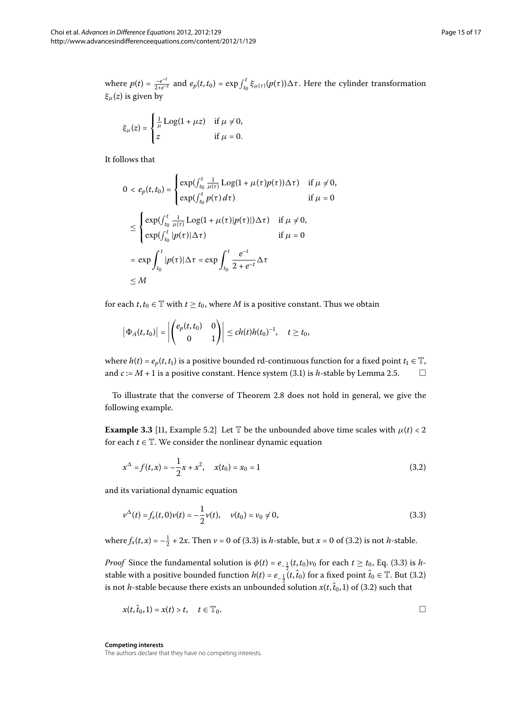where  $p(t) = \frac{-e^{-t}}{2+e^{-t}}$  and  $e_p(t, t_0) = \exp \int_{t_0}^t \xi_{\mu(\tau)}(p(\tau)) \Delta \tau$ . Here the cylinder transformation *ξμ*(*z*) is given by

$$
\xi_{\mu}(z) = \begin{cases} \frac{1}{\mu} \text{Log}(1 + \mu z) & \text{if } \mu \neq 0, \\ z & \text{if } \mu = 0. \end{cases}
$$

It follows that

$$
0 < e_p(t, t_0) = \begin{cases} \exp\left(\int_{t_0}^t \frac{1}{\mu(\tau)} \log(1 + \mu(\tau)p(\tau)) \Delta \tau\right) & \text{if } \mu \neq 0, \\ \exp\left(\int_{t_0}^t p(\tau) \, d\tau\right) & \text{if } \mu = 0 \end{cases}
$$
\n
$$
\leq \begin{cases} \exp\left(\int_{t_0}^t \frac{1}{\mu(\tau)} \log(1 + \mu(\tau)|p(\tau)|) \Delta \tau\right) & \text{if } \mu \neq 0, \\ \exp\left(\int_{t_0}^t |p(\tau)| \Delta \tau\right) & \text{if } \mu = 0 \end{cases}
$$
\n
$$
= \exp \int_{t_0}^t |p(\tau)| \Delta \tau = \exp \int_{t_0}^t \frac{e^{-t}}{2 + e^{-t}} \Delta \tau
$$
\n
$$
\leq M
$$

for each  $t, t_0 \in \mathbb{T}$  with  $t \geq t_0$ , where *M* is a positive constant. Thus we obtain

<span id="page-14-1"></span>
$$
\left|\Phi_A(t,t_0)\right|=\left|\begin{pmatrix}e_p(t,t_0)&0\\0&1\end{pmatrix}\right|\leq ch(t)h(t_0)^{-1},\quad t\geq t_0,
$$

where  $h(t) = e_p(t, t_1)$  is a positive bounded rd-continuous function for a fixed point  $t_1 \in \mathbb{T}$ , and  $c := M + 1$  is a positive constant[.](#page-6-3) Hence system (3.1) is *h*-stable by Lemma 2.5.

To illustrate that the converse of Theorem 2[.](#page-7-0)8 does not hold in general, we give the following example.

<span id="page-14-0"></span>**Example 3.3** [11[,](#page-15-22) Example 5.2] Let T be the unbounded above time scales with  $\mu(t) < 2$ for each  $t \in \mathbb{T}$ . We consider the nonlinear dynamic equation

$$
x^{\Delta} = f(t, x) = -\frac{1}{2}x + x^2, \quad x(t_0) = x_0 = 1
$$
\n(3.2)

and its variational dynamic equation

$$
\nu^{\Delta}(t) = f_x(t,0)\nu(t) = -\frac{1}{2}\nu(t), \quad \nu(t_0) = \nu_0 \neq 0,
$$
\n(3.3)

where  $f_x(t, x) = -\frac{1}{2} + 2x$ . Then  $v = 0$  of (3.3) is *h*-stable, but  $x = 0$  of (3.2) is not *h*-stable.

*Proof* Since the fundamental solution is  $\phi(t) = e_{-\frac{1}{2}}(t, t_0)v_0$  for each  $t \ge t_0$ , Eq[.](#page-14-0) (3.3) is *h*stable with a positive bounded function  $h(t) = e_{-\frac{1}{2}}(t, \hat{t}_0)$  for a fixed point  $\hat{t}_0 \in \mathbb{T}$ [.](#page-14-1) But (3.2) is not *h*-stable because there exists an unbounded solution  $x(t, \hat{t}_0, 1)$  of (3[.](#page-14-1)2) such that

$$
x(t,\hat{t}_0,1)=x(t)>t,\quad t\in\mathbb{T}_0.
$$

**Competing interests**

The authors declare that they have no competing interests.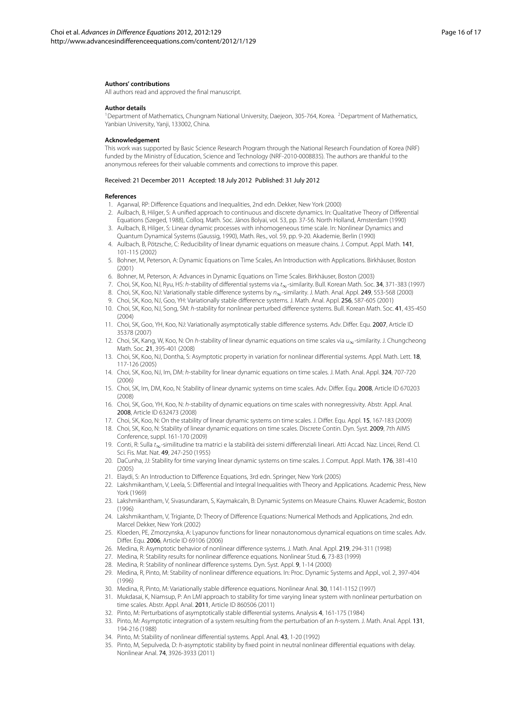#### <span id="page-15-1"></span><span id="page-15-0"></span>**Authors' contributions**

All authors read and approved the final manuscript.

#### **Author details**

<span id="page-15-8"></span><sup>1</sup>Department of Mathematics, Chungnam National University, Daejeon, 305-764, Korea. <sup>2</sup>Department of Mathematics, Yanbian University, Yanji, 133002, China.

#### <span id="page-15-2"></span>**Acknowledgement**

<span id="page-15-29"></span><span id="page-15-3"></span>This work was supported by Basic Science Research Program through the National Research Foundation of Korea (NRF) funded by the Ministry of Education, Science and Technology (NRF-2010-0008835). The authors are thankful to the anonymous referees for their valuable comments and corrections to improve this paper.

#### <span id="page-15-4"></span>Received: 21 December 2011 Accepted: 18 July 2012 Published: 31 July 2012

#### <span id="page-15-20"></span><span id="page-15-18"></span><span id="page-15-5"></span>**References**

- 1. Agarwal, RP: Difference Equations and Inequalities, 2nd edn. Dekker, New York (2000)
- <span id="page-15-21"></span>2. Aulbach, B, Hilger, S: A unified approach to continuous and discrete dynamics. In: Qualitative Theory of Differential Equations (Szeged, 1988), Colloq. Math. Soc. János Bolyai, vol. 53, pp. 37-56. North Holland, Amsterdam (1990)
- 3. Aulbach, B, Hilger, S: Linear dynamic processes with inhomogeneous time scale. In: Nonlinear Dynamics and Quantum Dynamical Systems (Gaussig, 1990), Math. Res., vol. 59, pp. 9-20. Akademie, Berlin (1990)
- <span id="page-15-22"></span>4. Aulbach, B, Pötzsche, C: Reducibility of linear dynamic equations on measure chains. J. Comput. Appl. Math. 141, 101-115 (2002)
- <span id="page-15-23"></span>5. Bohner, M, Peterson, A: Dynamic Equations on Time Scales, An Introduction with Applications. Birkhäuser, Boston (2001)
- 6. Bohner, M, Peterson, A: Advances in Dynamic Equations on Time Scales. Birkhäuser, Boston (2003)
- 7. Choi, SK, Koo, NJ, Ryu, HS: h-stability of differential systems via t∞-similarity. Bull. Korean Math. Soc. 34, 371-383 (1997)
- 8. Choi, SK, Koo, NJ: Variationally stable difference systems by  $n_{\infty}$ -similarity. J. Math. Anal. Appl. 249, 553-568 (2000)
- 9. Choi, SK, Koo, NJ, Goo, YH: Variationally stable difference systems. J. Math. Anal. Appl. 256, 587-605 (2001)
- <span id="page-15-30"></span>10. Choi, SK, Koo, NJ, Song, SM: h-stability for nonlinear perturbed difference systems. Bull. Korean Math. Soc. 41, 435-450 (2004)
- 11. Choi, SK, Goo, YH, Koo, NJ: Variationally asymptotically stable difference systems. Adv. Differ. Equ. 2007, Article ID 35378 (2007)
- <span id="page-15-28"></span><span id="page-15-24"></span>12. Choi, SK, Kang, W, Koo, N: On h-stability of linear dynamic equations on time scales via  $u_{\infty}$ -similarity. J. Chungcheong Math. Soc. 21, 395-401 (2008)
- <span id="page-15-19"></span>13. Choi, SK, Koo, NJ, Dontha, S: Asymptotic property in variation for nonlinear differential systems. Appl. Math. Lett. 18, 117-126 (2005)
- 14. Choi, SK, Koo, NJ, Im, DM: h-stability for linear dynamic equations on time scales. J. Math. Anal. Appl. 324, 707-720 (2006)
- <span id="page-15-25"></span><span id="page-15-6"></span>15. Choi, SK, Im, DM, Koo, N: Stability of linear dynamic systems on time scales. Adv. Differ. Equ. 2008, Article ID 670203 (2008)
- <span id="page-15-9"></span>16. Choi, SK, Goo, YH, Koo, N: h-stability of dynamic equations on time scales with nonregressivity. Abstr. Appl. Anal. 2008, Article ID 632473 (2008)
- <span id="page-15-7"></span>17. Choi, SK, Koo, N: On the stability of linear dynamic systems on time scales. J. Differ. Equ. Appl. 15, 167-183 (2009)
- <span id="page-15-10"></span>18. Choi, SK, Koo, N: Stability of linear dynamic equations on time scales. Discrete Contin. Dyn. Syst. 2009, 7th AIMS Conference, suppl. 161-170 (2009)
- 19. Conti, R: Sulla t∞-similitudine tra matrici e la stabilità dei sistemi differenziali lineari. Atti Accad. Naz. Lincei, Rend. Cl. Sci. Fis. Mat. Nat. 49, 247-250 (1955)
- <span id="page-15-26"></span><span id="page-15-13"></span>20. DaCunha, JJ: Stability for time varying linear dynamic systems on time scales. J. Comput. Appl. Math. 176, 381-410 (2005)
- 21. Elaydi, S: An Introduction to Difference Equations, 3rd edn. Springer, New York (2005)
- <span id="page-15-14"></span><span id="page-15-12"></span>22. Lakshmikantham, V, Leela, S: Differential and Integral Inequalities with Theory and Applications. Academic Press, New York (1969)
- <span id="page-15-15"></span>23. Lakshmikantham, V, Sivasundaram, S, Kaymakcaln, B: Dynamic Systems on Measure Chains. Kluwer Academic, Boston (1996)
- <span id="page-15-27"></span>24. Lakshmikantham, V, Trigiante, D: Theory of Difference Equations: Numerical Methods and Applications, 2nd edn. Marcel Dekker, New York (2002)
- <span id="page-15-16"></span><span id="page-15-11"></span>25. Kloeden, PE, Zmorzynska, A: Lyapunov functions for linear nonautonomous dynamical equations on time scales. Adv. Differ. Equ. 2006, Article ID 69106 (2006)
- 26. Medina, R: Asymptotic behavior of nonlinear difference systems. J. Math. Anal. Appl. 219, 294-311 (1998)
- <span id="page-15-31"></span>27. Medina, R: Stability results for nonlinear difference equations. Nonlinear Stud. 6, 73-83 (1999)
- <span id="page-15-17"></span>28. Medina, R: Stability of nonlinear difference systems. Dyn. Syst. Appl. 9, 1-14 (2000)
- 29. Medina, R, Pinto, M: Stability of nonlinear difference equations. In: Proc. Dynamic Systems and Appl., vol. 2, 397-404 (1996)
- 30. Medina, R, Pinto, M: Variationally stable difference equations. Nonlinear Anal. 30, 1141-1152 (1997)
- 31. Mukdasai, K, Niamsup, P: An LMI approach to stability for time varying linear system with nonlinear perturbation on time scales. Abstr. Appl. Anal. 2011, Article ID 860506 (2011)
- 32. Pinto, M: Perturbations of asymptotically stable differential systems. Analysis 4, 161-175 (1984)
- 33. Pinto, M: Asymptotic integration of a system resulting from the perturbation of an h-system. J. Math. Anal. Appl. 131, 194-216 (1988)
- 34. Pinto, M: Stability of nonlinear differential systems. Appl. Anal. 43, 1-20 (1992)
- 35. Pinto, M, Sepulveda, D: h-asymptotic stability by fixed point in neutral nonlinear differential equations with delay. Nonlinear Anal. 74, 3926-3933 (2011)